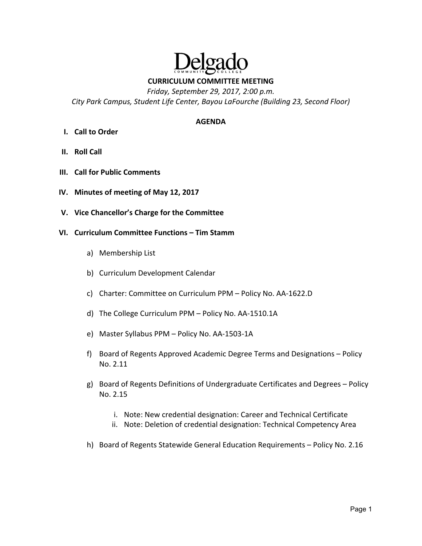

**CURRICULUM COMMITTEE MEETING** 

*Friday, September 29, 2017, 2:00 p.m.* 

*City Park Campus, Student Life Center, Bayou LaFourche (Building 23, Second Floor)* 

#### **AGENDA**

- **I. Call to Order**
- **II. Roll Call**
- **III. Call for Public Comments**
- **IV. Minutes of meeting of May 12, 2017**
- **V. Vice Chancellor's Charge for the Committee**
- **VI. Curriculum Committee Functions Tim Stamm**
	- a) Membership List
	- b) Curriculum Development Calendar
	- c) Charter: Committee on Curriculum PPM Policy No. AA‐1622.D
	- d) The College Curriculum PPM Policy No. AA‐1510.1A
	- e) Master Syllabus PPM Policy No. AA‐1503‐1A
	- f) Board of Regents Approved Academic Degree Terms and Designations Policy No. 2.11
	- g) Board of Regents Definitions of Undergraduate Certificates and Degrees Policy No. 2.15
		- i. Note: New credential designation: Career and Technical Certificate
		- ii. Note: Deletion of credential designation: Technical Competency Area
	- h) Board of Regents Statewide General Education Requirements Policy No. 2.16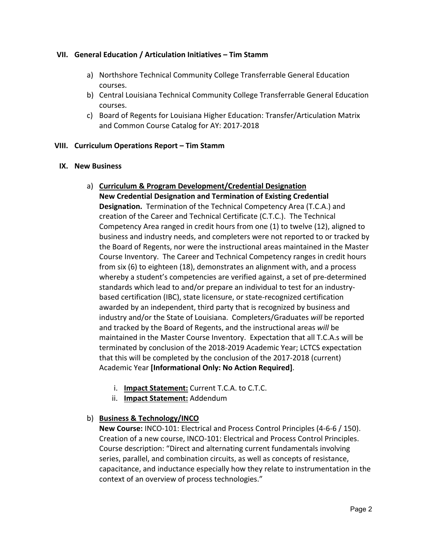### **VII. General Education / Articulation Initiatives – Tim Stamm**

- a) Northshore Technical Community College Transferrable General Education courses.
- b) Central Louisiana Technical Community College Transferrable General Education courses.
- c) Board of Regents for Louisiana Higher Education: Transfer/Articulation Matrix and Common Course Catalog for AY: 2017‐2018

### **VIII. Curriculum Operations Report – Tim Stamm**

### **IX. New Business**

- a) **Curriculum & Program Development/Credential Designation New Credential Designation and Termination of Existing Credential Designation.** Termination of the Technical Competency Area (T.C.A.) and creation of the Career and Technical Certificate (C.T.C.). The Technical Competency Area ranged in credit hours from one (1) to twelve (12), aligned to business and industry needs, and completers were not reported to or tracked by the Board of Regents, nor were the instructional areas maintained in the Master Course Inventory. The Career and Technical Competency ranges in credit hours from six (6) to eighteen (18), demonstrates an alignment with, and a process whereby a student's competencies are verified against, a set of pre-determined standards which lead to and/or prepare an individual to test for an industry‐ based certification (IBC), state licensure, or state‐recognized certification awarded by an independent, third party that is recognized by business and industry and/or the State of Louisiana. Completers/Graduates *will* be reported and tracked by the Board of Regents, and the instructional areas *will* be maintained in the Master Course Inventory. Expectation that all T.C.A.s will be terminated by conclusion of the 2018‐2019 Academic Year; LCTCS expectation that this will be completed by the conclusion of the 2017‐2018 (current) Academic Year **[Informational Only: No Action Required]**.
	- i. **Impact Statement:** Current T.C.A. to C.T.C.
	- ii. **Impact Statement:** Addendum

## b) **Business & Technology/INCO**

**New Course:** INCO‐101: Electrical and Process Control Principles (4‐6‐6 / 150). Creation of a new course, INCO‐101: Electrical and Process Control Principles. Course description: "Direct and alternating current fundamentals involving series, parallel, and combination circuits, as well as concepts of resistance, capacitance, and inductance especially how they relate to instrumentation in the context of an overview of process technologies."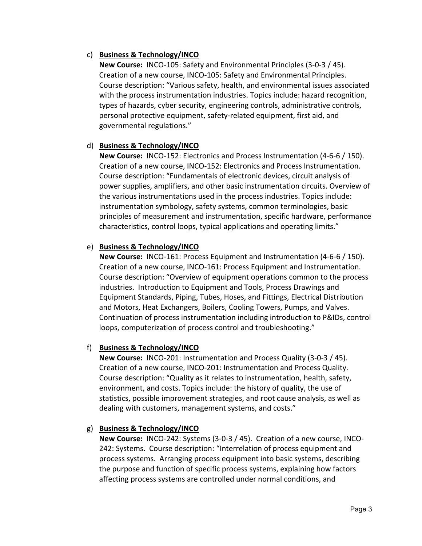### c) **Business & Technology/INCO**

**New Course:** INCO‐105: Safety and Environmental Principles (3‐0‐3 / 45). Creation of a new course, INCO‐105: Safety and Environmental Principles. Course description: "Various safety, health, and environmental issues associated with the process instrumentation industries. Topics include: hazard recognition, types of hazards, cyber security, engineering controls, administrative controls, personal protective equipment, safety-related equipment, first aid, and governmental regulations."

### d) **Business & Technology/INCO**

**New Course: INCO-152: Electronics and Process Instrumentation (4-6-6 / 150).** Creation of a new course, INCO‐152: Electronics and Process Instrumentation. Course description: "Fundamentals of electronic devices, circuit analysis of power supplies, amplifiers, and other basic instrumentation circuits. Overview of the various instrumentations used in the process industries. Topics include: instrumentation symbology, safety systems, common terminologies, basic principles of measurement and instrumentation, specific hardware, performance characteristics, control loops, typical applications and operating limits."

### e) **Business & Technology/INCO**

**New Course:**  INCO‐161: Process Equipment and Instrumentation (4‐6‐6 / 150). Creation of a new course, INCO‐161: Process Equipment and Instrumentation. Course description: "Overview of equipment operations common to the process industries. Introduction to Equipment and Tools, Process Drawings and Equipment Standards, Piping, Tubes, Hoses, and Fittings, Electrical Distribution and Motors, Heat Exchangers, Boilers, Cooling Towers, Pumps, and Valves. Continuation of process instrumentation including introduction to P&IDs, control loops, computerization of process control and troubleshooting."

## f) **Business & Technology/INCO**

**New Course: INCO-201: Instrumentation and Process Quality (3-0-3 / 45).** Creation of a new course, INCO‐201: Instrumentation and Process Quality. Course description: "Quality as it relates to instrumentation, health, safety, environment, and costs. Topics include: the history of quality, the use of statistics, possible improvement strategies, and root cause analysis, as well as dealing with customers, management systems, and costs."

### g) **Business & Technology/INCO**

**New Course: INCO-242: Systems (3-0-3 / 45). Creation of a new course, INCO-**242: Systems. Course description: "Interrelation of process equipment and process systems. Arranging process equipment into basic systems, describing the purpose and function of specific process systems, explaining how factors affecting process systems are controlled under normal conditions, and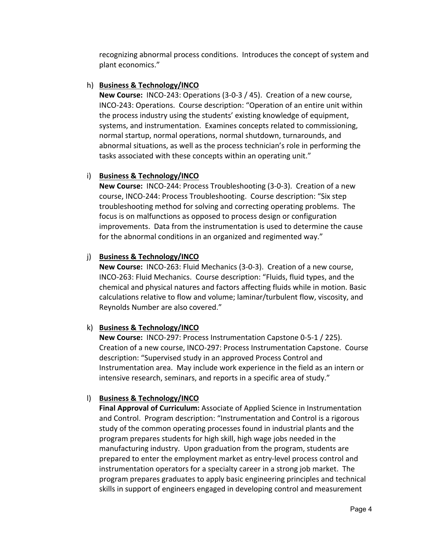recognizing abnormal process conditions. Introduces the concept of system and plant economics."

## h) **Business & Technology/INCO**

**New Course: INCO-243: Operations (3-0-3 / 45). Creation of a new course,** INCO‐243: Operations. Course description: "Operation of an entire unit within the process industry using the students' existing knowledge of equipment, systems, and instrumentation. Examines concepts related to commissioning, normal startup, normal operations, normal shutdown, turnarounds, and abnormal situations, as well as the process technician's role in performing the tasks associated with these concepts within an operating unit."

# i) **Business & Technology/INCO**

**New Course: INCO-244: Process Troubleshooting (3-0-3). Creation of a new** course, INCO‐244: Process Troubleshooting. Course description: "Six step troubleshooting method for solving and correcting operating problems. The focus is on malfunctions as opposed to process design or configuration improvements. Data from the instrumentation is used to determine the cause for the abnormal conditions in an organized and regimented way."

# j) **Business & Technology/INCO**

**New Course: INCO-263: Fluid Mechanics (3-0-3). Creation of a new course,** INCO‐263: Fluid Mechanics. Course description: "Fluids, fluid types, and the chemical and physical natures and factors affecting fluids while in motion. Basic calculations relative to flow and volume; laminar/turbulent flow, viscosity, and Reynolds Number are also covered."

# k) **Business & Technology/INCO**

**New Course:** INCO‐297: Process Instrumentation Capstone 0‐5‐1 / 225). Creation of a new course, INCO‐297: Process Instrumentation Capstone. Course description: "Supervised study in an approved Process Control and Instrumentation area. May include work experience in the field as an intern or intensive research, seminars, and reports in a specific area of study."

# l) **Business & Technology/INCO**

**Final Approval of Curriculum:** Associate of Applied Science in Instrumentation and Control. Program description: "Instrumentation and Control is a rigorous study of the common operating processes found in industrial plants and the program prepares students for high skill, high wage jobs needed in the manufacturing industry. Upon graduation from the program, students are prepared to enter the employment market as entry‐level process control and instrumentation operators for a specialty career in a strong job market. The program prepares graduates to apply basic engineering principles and technical skills in support of engineers engaged in developing control and measurement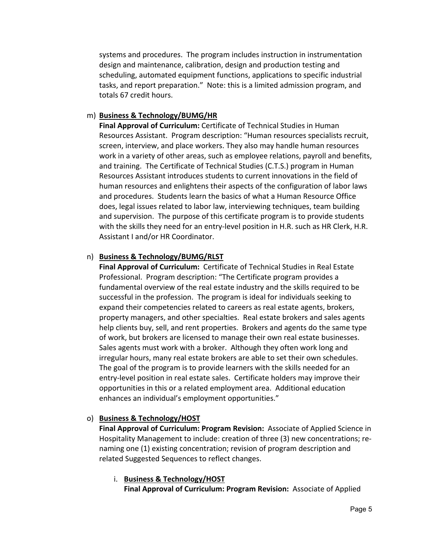systems and procedures. The program includes instruction in instrumentation design and maintenance, calibration, design and production testing and scheduling, automated equipment functions, applications to specific industrial tasks, and report preparation." Note: this is a limited admission program, and totals 67 credit hours.

### m) **Business & Technology/BUMG/HR**

**Final Approval of Curriculum:** Certificate of Technical Studies in Human Resources Assistant. Program description: "Human resources specialists recruit, screen, interview, and place workers. They also may handle human resources work in a variety of other areas, such as employee relations, payroll and benefits, and training. The Certificate of Technical Studies (C.T.S.) program in Human Resources Assistant introduces students to current innovations in the field of human resources and enlightens their aspects of the configuration of labor laws and procedures. Students learn the basics of what a Human Resource Office does, legal issues related to labor law, interviewing techniques, team building and supervision. The purpose of this certificate program is to provide students with the skills they need for an entry-level position in H.R. such as HR Clerk, H.R. Assistant I and/or HR Coordinator.

### n) **Business & Technology/BUMG/RLST**

**Final Approval of Curriculum: Certificate of Technical Studies in Real Estate** Professional. Program description: "The Certificate program provides a fundamental overview of the real estate industry and the skills required to be successful in the profession. The program is ideal for individuals seeking to expand their competencies related to careers as real estate agents, brokers, property managers, and other specialties. Real estate brokers and sales agents help clients buy, sell, and rent properties. Brokers and agents do the same type of work, but brokers are licensed to manage their own real estate businesses. Sales agents must work with a broker. Although they often work long and irregular hours, many real estate brokers are able to set their own schedules. The goal of the program is to provide learners with the skills needed for an entry‐level position in real estate sales. Certificate holders may improve their opportunities in this or a related employment area. Additional education enhances an individual's employment opportunities."

### o) **Business & Technology/HOST**

**Final Approval of Curriculum: Program Revision:** Associate of Applied Science in Hospitality Management to include: creation of three (3) new concentrations; re‐ naming one (1) existing concentration; revision of program description and related Suggested Sequences to reflect changes.

### i. **Business & Technology/HOST Final Approval of Curriculum: Program Revision:** Associate of Applied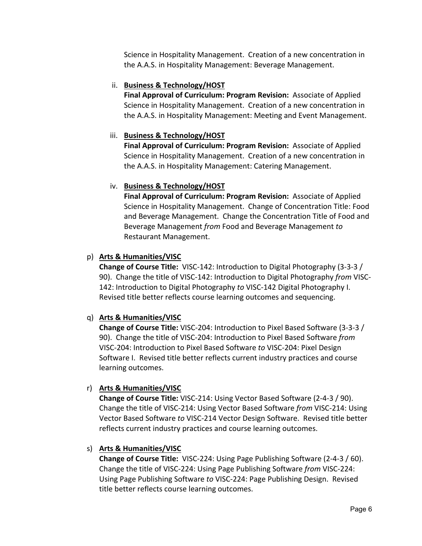Science in Hospitality Management. Creation of a new concentration in the A.A.S. in Hospitality Management: Beverage Management.

## ii. **Business & Technology/HOST**

**Final Approval of Curriculum: Program Revision:** Associate of Applied Science in Hospitality Management. Creation of a new concentration in the A.A.S. in Hospitality Management: Meeting and Event Management.

# iii. **Business & Technology/HOST**

**Final Approval of Curriculum: Program Revision:** Associate of Applied Science in Hospitality Management. Creation of a new concentration in the A.A.S. in Hospitality Management: Catering Management.

# iv. **Business & Technology/HOST**

**Final Approval of Curriculum: Program Revision:** Associate of Applied Science in Hospitality Management. Change of Concentration Title: Food and Beverage Management. Change the Concentration Title of Food and Beverage Management *from* Food and Beverage Management *to*  Restaurant Management.

# p) **Arts & Humanities/VISC**

**Change of Course Title:** VISC‐142: Introduction to Digital Photography (3‐3‐3 / 90). Change the title of VISC‐142: Introduction to Digital Photography *from* VISC‐ 142: Introduction to Digital Photography *to* VISC‐142 Digital Photography I. Revised title better reflects course learning outcomes and sequencing.

# q) **Arts & Humanities/VISC**

**Change of Course Title:** VISC‐204: Introduction to Pixel Based Software (3‐3‐3 / 90). Change the title of VISC‐204: Introduction to Pixel Based Software *from*  VISC‐204: Introduction to Pixel Based Software *to* VISC‐204: Pixel Design Software I. Revised title better reflects current industry practices and course learning outcomes.

# r) **Arts & Humanities/VISC**

**Change of Course Title:** VISC‐214: Using Vector Based Software (2‐4‐3 / 90). Change the title of VISC‐214: Using Vector Based Software *from* VISC‐214: Using Vector Based Software *to* VISC‐214 Vector Design Software. Revised title better reflects current industry practices and course learning outcomes.

## s) **Arts & Humanities/VISC**

**Change of Course Title:** VISC‐224: Using Page Publishing Software (2‐4‐3 / 60). Change the title of VISC‐224: Using Page Publishing Software *from* VISC‐224: Using Page Publishing Software *to* VISC‐224: Page Publishing Design. Revised title better reflects course learning outcomes.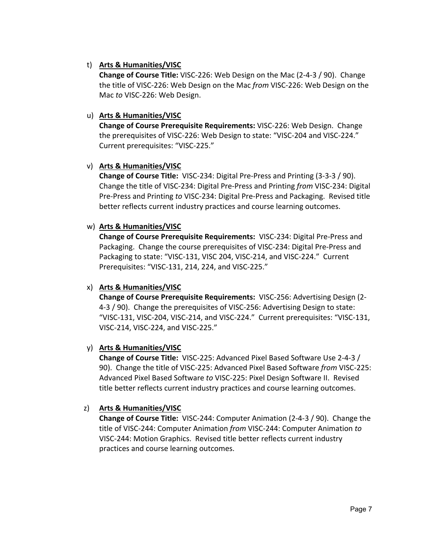### t) **Arts & Humanities/VISC**

**Change of Course Title:** VISC‐226: Web Design on the Mac (2‐4‐3 / 90). Change the title of VISC‐226: Web Design on the Mac *from* VISC‐226: Web Design on the Mac *to* VISC‐226: Web Design.

### u) **Arts & Humanities/VISC**

**Change of Course Prerequisite Requirements:** VISC‐226: Web Design. Change the prerequisites of VISC‐226: Web Design to state: "VISC‐204 and VISC‐224." Current prerequisites: "VISC‐225."

### v) **Arts & Humanities/VISC**

**Change of Course Title:** VISC‐234: Digital Pre‐Press and Printing (3‐3‐3 / 90). Change the title of VISC‐234: Digital Pre‐Press and Printing *from* VISC‐234: Digital Pre‐Press and Printing *to* VISC‐234: Digital Pre‐Press and Packaging. Revised title better reflects current industry practices and course learning outcomes.

### w) **Arts & Humanities/VISC**

**Change of Course Prerequisite Requirements:** VISC‐234: Digital Pre‐Press and Packaging. Change the course prerequisites of VISC‐234: Digital Pre‐Press and Packaging to state: "VISC‐131, VISC 204, VISC‐214, and VISC‐224." Current Prerequisites: "VISC‐131, 214, 224, and VISC‐225."

## x) **Arts & Humanities/VISC**

**Change of Course Prerequisite Requirements:** VISC‐256: Advertising Design (2‐ 4‐3 / 90). Change the prerequisites of VISC‐256: Advertising Design to state: "VISC‐131, VISC‐204, VISC‐214, and VISC‐224." Current prerequisites: "VISC‐131, VISC‐214, VISC‐224, and VISC‐225."

## y) **Arts & Humanities/VISC**

**Change of Course Title:** VISC‐225: Advanced Pixel Based Software Use 2‐4‐3 / 90). Change the title of VISC‐225: Advanced Pixel Based Software *from* VISC‐225: Advanced Pixel Based Software *to* VISC‐225: Pixel Design Software II. Revised title better reflects current industry practices and course learning outcomes.

## z) **Arts & Humanities/VISC**

**Change of Course Title:** VISC‐244: Computer Animation (2‐4‐3 / 90). Change the title of VISC‐244: Computer Animation *from* VISC‐244: Computer Animation *to*  VISC‐244: Motion Graphics. Revised title better reflects current industry practices and course learning outcomes.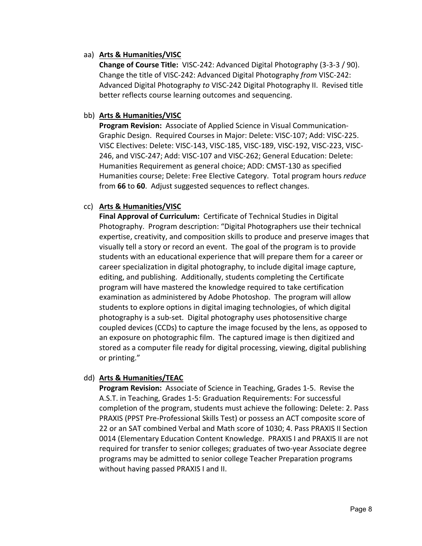### aa) **Arts & Humanities/VISC**

**Change of Course Title:** VISC‐242: Advanced Digital Photography (3‐3‐3 / 90). Change the title of VISC‐242: Advanced Digital Photography *from* VISC‐242: Advanced Digital Photography *to* VISC‐242 Digital Photography II. Revised title better reflects course learning outcomes and sequencing.

### bb) **Arts & Humanities/VISC**

**Program Revision:** Associate of Applied Science in Visual Communication-Graphic Design. Required Courses in Major: Delete: VISC‐107; Add: VISC‐225. VISC Electives: Delete: VISC‐143, VISC‐185, VISC‐189, VISC‐192, VISC‐223, VISC‐ 246, and VISC‐247; Add: VISC‐107 and VISC‐262; General Education: Delete: Humanities Requirement as general choice; ADD: CMST‐130 as specified Humanities course; Delete: Free Elective Category. Total program hours *reduce*  from **66** to **60**. Adjust suggested sequences to reflect changes.

## cc) **Arts & Humanities/VISC**

**Final Approval of Curriculum:** Certificate of Technical Studies in Digital Photography. Program description: "Digital Photographers use their technical expertise, creativity, and composition skills to produce and preserve images that visually tell a story or record an event. The goal of the program is to provide students with an educational experience that will prepare them for a career or career specialization in digital photography, to include digital image capture, editing, and publishing. Additionally, students completing the Certificate program will have mastered the knowledge required to take certification examination as administered by Adobe Photoshop. The program will allow students to explore options in digital imaging technologies, of which digital photography is a sub‐set. Digital photography uses photosensitive charge coupled devices (CCDs) to capture the image focused by the lens, as opposed to an exposure on photographic film. The captured image is then digitized and stored as a computer file ready for digital processing, viewing, digital publishing or printing."

### dd) **Arts & Humanities/TEAC**

**Program Revision:** Associate of Science in Teaching, Grades 1‐5. Revise the A.S.T. in Teaching, Grades 1‐5: Graduation Requirements: For successful completion of the program, students must achieve the following: Delete: 2. Pass PRAXIS (PPST Pre‐Professional Skills Test) or possess an ACT composite score of 22 or an SAT combined Verbal and Math score of 1030; 4. Pass PRAXIS II Section 0014 (Elementary Education Content Knowledge. PRAXIS I and PRAXIS II are not required for transfer to senior colleges; graduates of two-year Associate degree programs may be admitted to senior college Teacher Preparation programs without having passed PRAXIS I and II.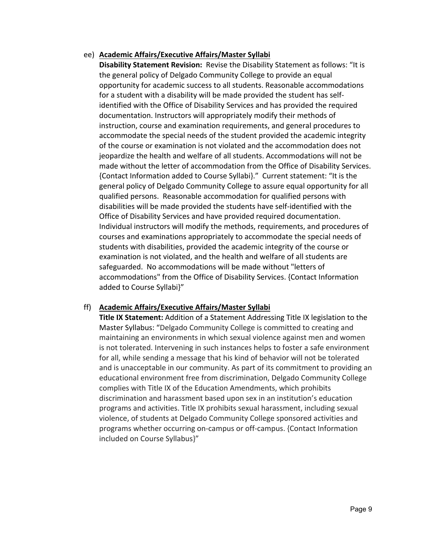### ee) **Academic Affairs/Executive Affairs/Master Syllabi**

**Disability Statement Revision:** Revise the Disability Statement as follows: "It is the general policy of Delgado Community College to provide an equal opportunity for academic success to all students. Reasonable accommodations for a student with a disability will be made provided the student has self‐ identified with the Office of Disability Services and has provided the required documentation. Instructors will appropriately modify their methods of instruction, course and examination requirements, and general procedures to accommodate the special needs of the student provided the academic integrity of the course or examination is not violated and the accommodation does not jeopardize the health and welfare of all students. Accommodations will not be made without the letter of accommodation from the Office of Disability Services. {Contact Information added to Course Syllabi}." Current statement: "It is the general policy of Delgado Community College to assure equal opportunity for all qualified persons. Reasonable accommodation for qualified persons with disabilities will be made provided the students have self‐identified with the Office of Disability Services and have provided required documentation. Individual instructors will modify the methods, requirements, and procedures of courses and examinations appropriately to accommodate the special needs of students with disabilities, provided the academic integrity of the course or examination is not violated, and the health and welfare of all students are safeguarded. No accommodations will be made without "letters of accommodations" from the Office of Disability Services. {Contact Information added to Course Syllabi}"

## ff) **Academic Affairs/Executive Affairs/Master Syllabi**

**Title IX Statement:** Addition of a Statement Addressing Title IX legislation to the Master Syllabus: "Delgado Community College is committed to creating and maintaining an environments in which sexual violence against men and women is not tolerated. Intervening in such instances helps to foster a safe environment for all, while sending a message that his kind of behavior will not be tolerated and is unacceptable in our community. As part of its commitment to providing an educational environment free from discrimination, Delgado Community College complies with Title IX of the Education Amendments, which prohibits discrimination and harassment based upon sex in an institution's education programs and activities. Title IX prohibits sexual harassment, including sexual violence, of students at Delgado Community College sponsored activities and programs whether occurring on-campus or off-campus. {Contact Information included on Course Syllabus}"